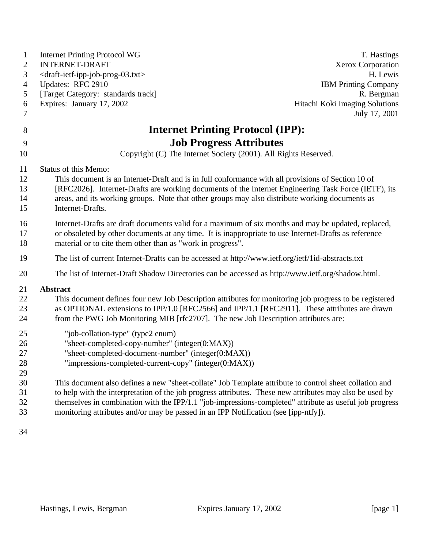| $\mathbf{1}$<br>$\mathbf{2}$ | <b>Internet Printing Protocol WG</b><br><b>INTERNET-DRAFT</b>                                            | T. Hastings<br><b>Xerox Corporation</b> |
|------------------------------|----------------------------------------------------------------------------------------------------------|-----------------------------------------|
| 3                            | <draft-ietf-ipp-job-prog-03.txt></draft-ietf-ipp-job-prog-03.txt>                                        | H. Lewis                                |
| 4                            | Updates: RFC 2910                                                                                        | <b>IBM Printing Company</b>             |
| 5                            | [Target Category: standards track]                                                                       | R. Bergman                              |
| 6                            | Expires: January 17, 2002                                                                                | Hitachi Koki Imaging Solutions          |
| 7                            |                                                                                                          | July 17, 2001                           |
| 8                            | <b>Internet Printing Protocol (IPP):</b>                                                                 |                                         |
| 9                            | <b>Job Progress Attributes</b>                                                                           |                                         |
| 10                           | Copyright (C) The Internet Society (2001). All Rights Reserved.                                          |                                         |
| 11                           | Status of this Memo:                                                                                     |                                         |
| 12                           | This document is an Internet-Draft and is in full conformance with all provisions of Section 10 of       |                                         |
| 13                           | [RFC2026]. Internet-Drafts are working documents of the Internet Engineering Task Force (IETF), its      |                                         |
| 14                           | areas, and its working groups. Note that other groups may also distribute working documents as           |                                         |
| 15                           | Internet-Drafts.                                                                                         |                                         |
| 16                           | Internet-Drafts are draft documents valid for a maximum of six months and may be updated, replaced,      |                                         |
| 17                           | or obsoleted by other documents at any time. It is inappropriate to use Internet-Drafts as reference     |                                         |
| 18                           | material or to cite them other than as "work in progress".                                               |                                         |
| 19                           | The list of current Internet-Drafts can be accessed at http://www.ietf.org/ietf/1id-abstracts.txt        |                                         |
| 20                           | The list of Internet-Draft Shadow Directories can be accessed as http://www.ietf.org/shadow.html.        |                                         |
| 21                           | Abstract                                                                                                 |                                         |
| 22                           | This document defines four new Job Description attributes for monitoring job progress to be registered   |                                         |
| 23                           | as OPTIONAL extensions to IPP/1.0 [RFC2566] and IPP/1.1 [RFC2911]. These attributes are drawn            |                                         |
| 24                           | from the PWG Job Monitoring MIB [rfc2707]. The new Job Description attributes are:                       |                                         |
| 25                           | "job-collation-type" (type2 enum)                                                                        |                                         |
| 26                           | "sheet-completed-copy-number" (integer(0:MAX))                                                           |                                         |
| 27                           | "sheet-completed-document-number" (integer(0:MAX))                                                       |                                         |
| 28                           | "impressions-completed-current-copy" (integer(0:MAX))                                                    |                                         |
| 29<br>30                     | This document also defines a new "sheet-collate" Job Template attribute to control sheet collation and   |                                         |
| 31                           | to help with the interpretation of the job progress attributes. These new attributes may also be used by |                                         |
| 32                           | themselves in combination with the IPP/1.1 "job-impressions-completed" attribute as useful job progress  |                                         |
| 33                           | monitoring attributes and/or may be passed in an IPP Notification (see [ipp-ntfy]).                      |                                         |
|                              |                                                                                                          |                                         |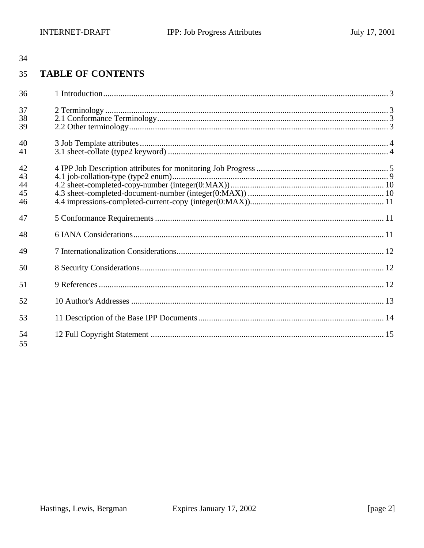#### **TABLE OF CONTENTS** 35

| 36                         |  |
|----------------------------|--|
| 37<br>38<br>39             |  |
| 40<br>41                   |  |
| 42<br>43<br>44<br>45<br>46 |  |
| 47                         |  |
| 48                         |  |
| 49                         |  |
| 50                         |  |
| 51                         |  |
| 52                         |  |
| 53                         |  |
| 54<br>55                   |  |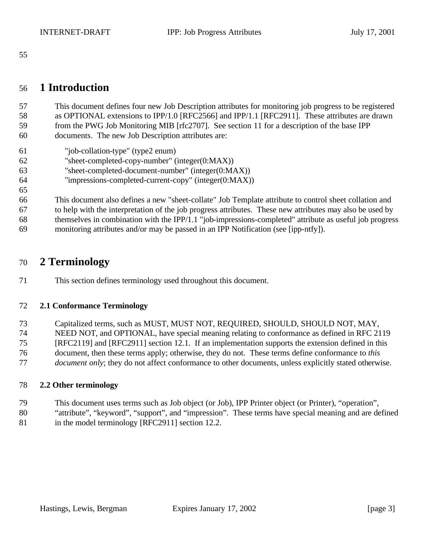### **1 Introduction**

 This document defines four new Job Description attributes for monitoring job progress to be registered as OPTIONAL extensions to IPP/1.0 [RFC2566] and IPP/1.1 [RFC2911]. These attributes are drawn from the PWG Job Monitoring MIB [rfc2707]. See section 11 for a description of the base IPP documents. The new Job Description attributes are:

"job-collation-type" (type2 enum)

- "sheet-completed-copy-number" (integer(0:MAX))
- "sheet-completed-document-number" (integer(0:MAX))
- "impressions-completed-current-copy" (integer(0:MAX))
- This document also defines a new "sheet-collate" Job Template attribute to control sheet collation and to help with the interpretation of the job progress attributes. These new attributes may also be used by themselves in combination with the IPP/1.1 "job-impressions-completed" attribute as useful job progress monitoring attributes and/or may be passed in an IPP Notification (see [ipp-ntfy]).

## **2 Terminology**

This section defines terminology used throughout this document.

#### **2.1 Conformance Terminology**

 Capitalized terms, such as MUST, MUST NOT, REQUIRED, SHOULD, SHOULD NOT, MAY, NEED NOT, and OPTIONAL, have special meaning relating to conformance as defined in RFC 2119 [RFC2119] and [RFC2911] section 12.1. If an implementation supports the extension defined in this document, then these terms apply; otherwise, they do not. These terms define conformance to *this document only*; they do not affect conformance to other documents, unless explicitly stated otherwise.

#### **2.2 Other terminology**

- This document uses terms such as Job object (or Job), IPP Printer object (or Printer), "operation",
- "attribute", "keyword", "support", and "impression". These terms have special meaning and are defined
- 81 in the model terminology [RFC2911] section 12.2.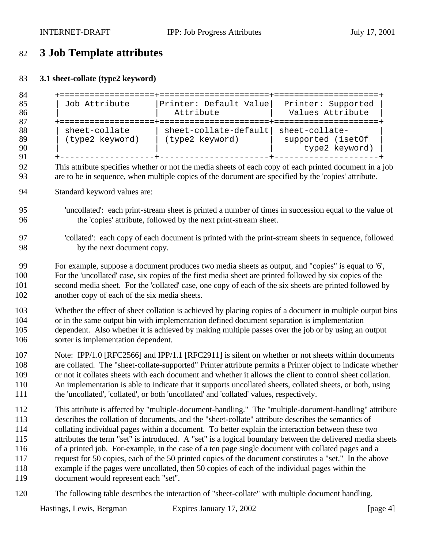# **3 Job Template attributes**

### **3.1 sheet-collate (type2 keyword)**

```
84 +===================+======================+=====================+
                         | Printer: Default Value| Printer: Supported
86 | | Attribute | Values Attribute |
87 +===================+======================+=====================+
        sheet-collate | sheet-collate-default| sheet-collate-
89 | (type2 keyword) | (type2 keyword) | supported (1setOf | \frac{90}{100} | supported (1setOf | type2 keyword)
90 | | | type2 keyword) |
      91 +-------------------+----------------------+---------------------+
```
- This attribute specifies whether or not the media sheets of each copy of each printed document in a job are to be in sequence, when multiple copies of the document are specified by the 'copies' attribute.
- Standard keyword values are:
- 'uncollated': each print-stream sheet is printed a number of times in succession equal to the value of the 'copies' attribute, followed by the next print-stream sheet.

- For example, suppose a document produces two media sheets as output, and "copies" is equal to '6', For the 'uncollated' case, six copies of the first media sheet are printed followed by six copies of the second media sheet. For the 'collated' case, one copy of each of the six sheets are printed followed by another copy of each of the six media sheets.
- Whether the effect of sheet collation is achieved by placing copies of a document in multiple output bins or in the same output bin with implementation defined document separation is implementation dependent. Also whether it is achieved by making multiple passes over the job or by using an output sorter is implementation dependent.
- Note: IPP/1.0 [RFC2566] and IPP/1.1 [RFC2911] is silent on whether or not sheets within documents are collated. The "sheet-collate-supported" Printer attribute permits a Printer object to indicate whether or not it collates sheets with each document and whether it allows the client to control sheet collation. An implementation is able to indicate that it supports uncollated sheets, collated sheets, or both, using the 'uncollated', 'collated', or both 'uncollated' and 'collated' values, respectively.
- This attribute is affected by "multiple-document-handling." The "multiple-document-handling" attribute describes the collation of documents, and the "sheet-collate" attribute describes the semantics of collating individual pages within a document. To better explain the interaction between these two attributes the term "set" is introduced. A "set" is a logical boundary between the delivered media sheets of a printed job. For-example, in the case of a ten page single document with collated pages and a request for 50 copies, each of the 50 printed copies of the document constitutes a "set." In the above example if the pages were uncollated, then 50 copies of each of the individual pages within the document would represent each "set".
- The following table describes the interaction of "sheet-collate" with multiple document handling.

 'collated': each copy of each document is printed with the print-stream sheets in sequence, followed by the next document copy.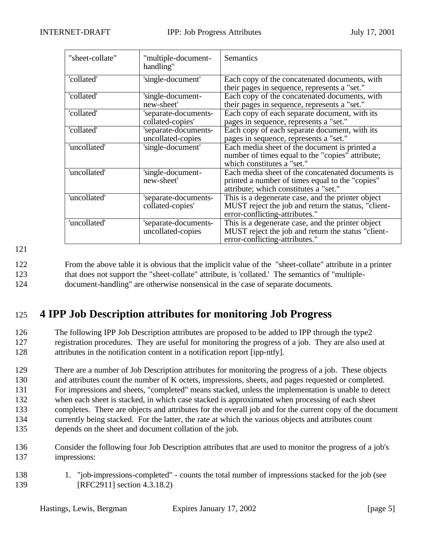| "sheet-collate" | "multiple-document-<br>handling"          | Semantics                                                                                                                                     |
|-----------------|-------------------------------------------|-----------------------------------------------------------------------------------------------------------------------------------------------|
| 'collated'      | 'single-document'                         | Each copy of the concatenated documents, with<br>their pages in sequence, represents a "set."                                                 |
| 'collated'      | 'single-document-<br>new-sheet'           | Each copy of the concatenated documents, with<br>their pages in sequence, represents a "set."                                                 |
| 'collated'      | 'separate-documents-<br>collated-copies'  | Each copy of each separate document, with its<br>pages in sequence, represents a "set."                                                       |
| 'collated'      | 'separate-documents-<br>uncollated-copies | Each copy of each separate document, with its<br>pages in sequence, represents a "set."                                                       |
| 'uncollated'    | 'single-document'                         | Each media sheet of the document is printed a<br>number of times equal to the "copies" attribute;<br>which constitutes a "set."               |
| 'uncollated'    | single-document-<br>new-sheet'            | Each media sheet of the concatenated documents is<br>printed a number of times equal to the "copies"<br>attribute; which constitutes a "set." |
| 'uncollated'    | 'separate-documents-<br>collated-copies'  | This is a degenerate case, and the printer object<br>MUST reject the job and return the status, "client-<br>error-conflicting-attributes."    |
| 'uncollated'    | 'separate-documents-<br>uncollated-copies | This is a degenerate case, and the printer object<br>MUST reject the job and return the status "client-<br>error-conflicting-attributes."     |

122 From the above table it is obvious that the implicit value of the "sheet-collate" attribute in a printer 123 that does not support the "sheet-collate" attribute, is 'collated.' The semantics of "multiple-124 document-handling" are otherwise nonsensical in the case of separate documents.

# 125 **4 IPP Job Description attributes for monitoring Job Progress**

126 The following IPP Job Description attributes are proposed to be added to IPP through the type2 127 registration procedures. They are useful for monitoring the progress of a job. They are also used at 128 attributes in the notification content in a notification report [ipp-ntfy].

 There are a number of Job Description attributes for monitoring the progress of a job. These objects and attributes count the number of K octets, impressions, sheets, and pages requested or completed. For impressions and sheets, "completed" means stacked, unless the implementation is unable to detect when each sheet is stacked, in which case stacked is approximated when processing of each sheet completes. There are objects and attributes for the overall job and for the current copy of the document currently being stacked. For the latter, the rate at which the various objects and attributes count depends on the sheet and document collation of the job.

- 136 Consider the following four Job Description attributes that are used to monitor the progress of a job's 137 impressions:
- 138 1. "job-impressions-completed" counts the total number of impressions stacked for the job (see 139 **[RFC2911]** section 4.3.18.2)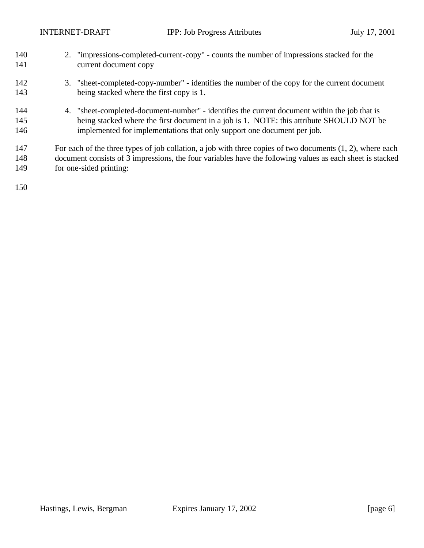| 140<br>141        | 2. "impressions-completed-current-copy" - counts the number of impressions stacked for the<br>current document copy                                                                                                                                                  |
|-------------------|----------------------------------------------------------------------------------------------------------------------------------------------------------------------------------------------------------------------------------------------------------------------|
| 142<br>143        | 3. "sheet-completed-copy-number" - identifies the number of the copy for the current document<br>being stacked where the first copy is 1.                                                                                                                            |
| 144<br>145<br>146 | 4. "sheet-completed-document-number" - identifies the current document within the job that is<br>being stacked where the first document in a job is 1. NOTE: this attribute SHOULD NOT be<br>implemented for implementations that only support one document per job. |
| 147<br>148<br>149 | For each of the three types of job collation, a job with three copies of two documents $(1, 2)$ , where each<br>document consists of 3 impressions, the four variables have the following values as each sheet is stacked<br>for one-sided printing:                 |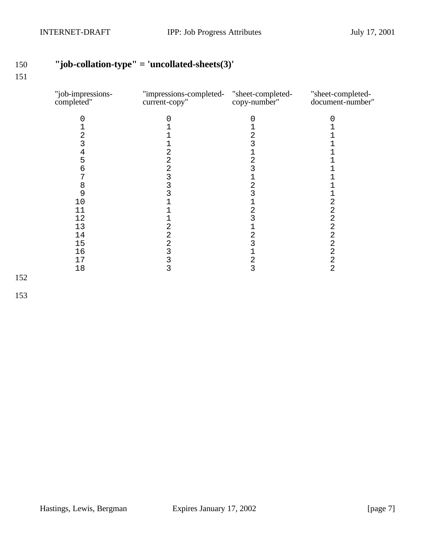# **"job-collation-type" = 'uncollated-sheets(3)'**

| "job-impressions-<br>completed" | "impressions-completed- "sheet-completed-<br>current-copy" | copy-number"            | "sheet-completed-<br>document-number" |
|---------------------------------|------------------------------------------------------------|-------------------------|---------------------------------------|
| 0                               | 0                                                          | 0                       |                                       |
|                                 |                                                            |                         |                                       |
| 2                               |                                                            | 2                       |                                       |
| 3                               |                                                            | 3                       |                                       |
| 4                               | 2                                                          |                         |                                       |
| 5                               | 2                                                          | 2                       |                                       |
| 6                               | 2                                                          | 3                       |                                       |
| 7                               | 3                                                          |                         |                                       |
| 8                               | 3                                                          | 2                       |                                       |
| 9                               | 3                                                          | 3                       |                                       |
| 10                              |                                                            |                         | 2                                     |
| 11                              |                                                            | 2                       | 2                                     |
| 12                              |                                                            | 3                       | 2                                     |
| 13                              | 2                                                          |                         | 2                                     |
| 14                              | 2                                                          | 2                       | 2                                     |
| 15                              | 2                                                          | 3                       | 2                                     |
| 16                              | 3                                                          |                         | $\overline{2}$                        |
| 17                              | 3                                                          | $\overline{\mathbf{c}}$ | 2                                     |
| 18                              | 3                                                          | 3                       | $\overline{2}$                        |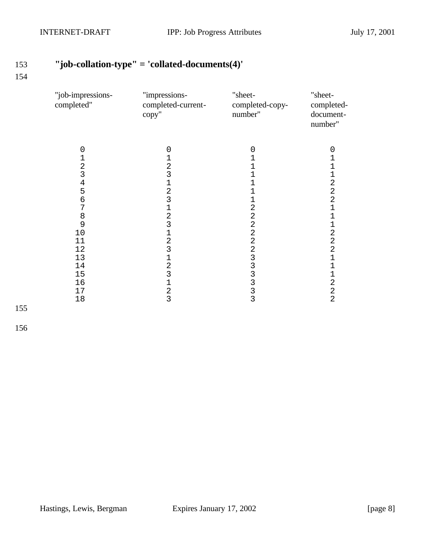# **"job-collation-type" = 'collated-documents(4)'**

#### 

| $\mathbf 0$<br>$\mathbf 0$<br>0                                                                                                                                                                                                                                                                                                                                                                                                                                      |                                                                                                                                                                                                                                                                                  |
|----------------------------------------------------------------------------------------------------------------------------------------------------------------------------------------------------------------------------------------------------------------------------------------------------------------------------------------------------------------------------------------------------------------------------------------------------------------------|----------------------------------------------------------------------------------------------------------------------------------------------------------------------------------------------------------------------------------------------------------------------------------|
| 1<br>1<br>1<br>$\overline{a}$<br>2<br>1<br>3<br>3<br>$\mathbf 1$<br>$\frac{4}{5}$<br>1<br>1<br>$\overline{c}$<br>1<br>3<br>$\epsilon$<br>1<br>7<br>$\overline{2}$<br>1<br>$\overline{a}$<br>$\begin{array}{c} 8 \\ 9 \end{array}$<br>2<br>3<br>$\overline{a}$<br>$\overline{2}$<br>10<br>1<br>$\overline{a}$<br>$\overline{2}$<br>11<br>23333333<br>3<br>12<br>13<br>1<br>$\overline{2}$<br>14<br>3<br>15<br>1<br>16<br>$\overline{2}$<br>17<br>$\overline{3}$<br>18 | 0<br>1<br>1<br>$\mathbf{1}$<br>$\sqrt{2}$<br>$\overline{a}$<br>$\overline{a}$<br>$\mathbf 1$<br>$\mathbf 1$<br>$\mathbf 1$<br>$\overline{2}$<br>$\overline{a}$<br>$\overline{2}$<br>$\mathbf 1$<br>$\mathbf 1$<br>$\mathbf 1$<br>$\mathbf 2$<br>$\overline{a}$<br>$\overline{2}$ |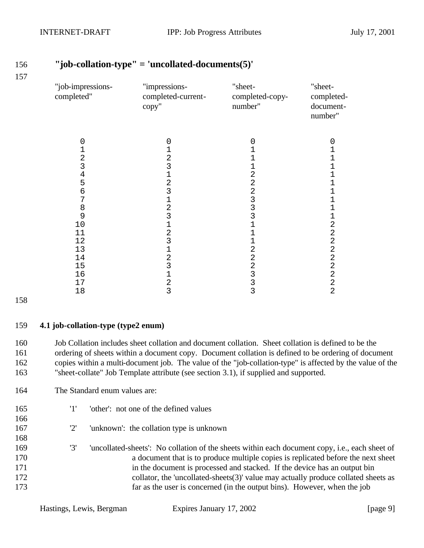| "job-impressions-<br>completed" | "impressions-<br>completed-current-<br>copy" | "sheet-<br>completed-copy-<br>number" | "sheet-<br>completed-<br>document-<br>number" |
|---------------------------------|----------------------------------------------|---------------------------------------|-----------------------------------------------|
| 0                               | 0                                            | 0                                     | 0                                             |
| 1                               | 1                                            | 1                                     | 1                                             |
| $\overline{a}$                  | $\overline{2}$                               |                                       | 1                                             |
| 3                               | 3                                            | 1                                     | 1                                             |
| 4                               | $\overline{1}$                               | $\overline{a}$                        | 1                                             |
| 5                               | $\overline{a}$                               | $\overline{2}$                        | $\mathbf 1$                                   |
| 6                               | $\overline{3}$                               | $\overline{c}$                        | 1                                             |
| 7                               | $\mathbf 1$                                  | 3                                     | 1                                             |
| 8                               | $\overline{a}$                               | 3                                     | 1                                             |
| 9                               | 3                                            | 3                                     | $\mathbf 1$                                   |
| 10                              | $\mathbf 1$                                  | 1                                     | $\overline{a}$                                |
| 11                              | $\overline{2}$                               |                                       | $\overline{2}$                                |
| 12                              | 3                                            | 1                                     | $\sqrt{2}$                                    |
| 13                              | $\mathbf 1$                                  | $\overline{2}$                        | $\overline{2}$                                |
| 14                              | $\overline{a}$                               | 2                                     | $\mathbf 2$                                   |
| 15                              | 3                                            | 2                                     | $\overline{2}$                                |
| 16                              | $\mathbf 1$                                  | 3                                     | $\overline{2}$                                |
| 17                              | $\overline{\mathbf{c}}$                      | 3                                     | $\mathbf 2$                                   |
| 18                              | 3                                            | 3                                     | $\overline{2}$                                |

 Job Collation includes sheet collation and document collation. Sheet collation is defined to be the ordering of sheets within a document copy. Document collation is defined to be ordering of document copies within a multi-document job. The value of the "job-collation-type" is affected by the value of the

"sheet-collate" Job Template attribute (see section 3.1), if supplied and supported.

### **"job-collation-type" = 'uncollated-documents(5)'**

 '3' 'uncollated-sheets': No collation of the sheets within each document copy, i.e., each sheet of a document that is to produce multiple copies is replicated before the next sheet 171 in the document is processed and stacked. If the device has an output bin

'1' 'other': not one of the defined values

'2' 'unknown': the collation type is unknown

172 collator, the 'uncollated-sheets(3)' value may actually produce collated sheets as

far as the user is concerned (in the output bins). However, when the job

**4.1 job-collation-type (type2 enum)**

The Standard enum values are: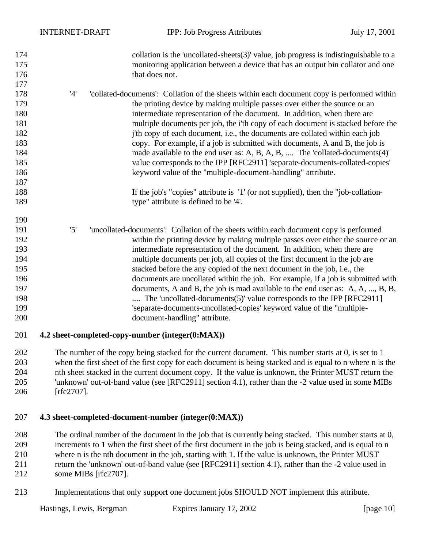| 174<br>175<br>176 |     | collation is the 'uncollated-sheets $(3)$ ' value, job progress is indistinguishable to a<br>monitoring application between a device that has an output bin collator and one<br>that does not. |
|-------------------|-----|------------------------------------------------------------------------------------------------------------------------------------------------------------------------------------------------|
| 177               |     |                                                                                                                                                                                                |
| 178               | '4' | 'collated-documents': Collation of the sheets within each document copy is performed within                                                                                                    |
| 179<br>180        |     | the printing device by making multiple passes over either the source or an                                                                                                                     |
| 181               |     | intermediate representation of the document. In addition, when there are                                                                                                                       |
| 182               |     | multiple documents per job, the i'th copy of each document is stacked before the                                                                                                               |
| 183               |     | j'th copy of each document, i.e., the documents are collated within each job                                                                                                                   |
| 184               |     | copy. For example, if a job is submitted with documents, A and B, the job is                                                                                                                   |
| 185               |     | made available to the end user as: A, B, A, B,  The 'collated-documents(4)'<br>value corresponds to the IPP [RFC2911] 'separate-documents-collated-copies'                                     |
| 186               |     | keyword value of the "multiple-document-handling" attribute.                                                                                                                                   |
| 187               |     |                                                                                                                                                                                                |
| 188               |     |                                                                                                                                                                                                |
| 189               |     | If the job's "copies" attribute is '1' (or not supplied), then the "job-collation-<br>type" attribute is defined to be '4'.                                                                    |
| 190               |     |                                                                                                                                                                                                |
| 191               | '5' | 'uncollated-documents': Collation of the sheets within each document copy is performed                                                                                                         |
| 192               |     | within the printing device by making multiple passes over either the source or an                                                                                                              |
| 193               |     | intermediate representation of the document. In addition, when there are                                                                                                                       |
| 194               |     | multiple documents per job, all copies of the first document in the job are                                                                                                                    |
| 195               |     | stacked before the any copied of the next document in the job, i.e., the                                                                                                                       |
| 196               |     | documents are uncollated within the job. For example, if a job is submitted with                                                                                                               |
| 197               |     | documents, A and B, the job is mad available to the end user as: A, A, , B, B,                                                                                                                 |
| 198               |     | The 'uncollated-documents(5)' value corresponds to the IPP [RFC2911]                                                                                                                           |
| 199               |     | 'separate-documents-uncollated-copies' keyword value of the "multiple-                                                                                                                         |
| 200               |     | document-handling" attribute.                                                                                                                                                                  |
| 201               |     | 4.2 sheet-completed-copy-number (integer(0:MAX))                                                                                                                                               |

 The number of the copy being stacked for the current document. This number starts at 0, is set to 1 when the first sheet of the first copy for each document is being stacked and is equal to n where n is the nth sheet stacked in the current document copy. If the value is unknown, the Printer MUST return the 'unknown' out-of-band value (see [RFC2911] section 4.1), rather than the -2 value used in some MIBs [rfc2707].

#### **4.3 sheet-completed-document-number (integer(0:MAX))**

 The ordinal number of the document in the job that is currently being stacked. This number starts at 0, increments to 1 when the first sheet of the first document in the job is being stacked, and is equal to n where n is the nth document in the job, starting with 1. If the value is unknown, the Printer MUST return the 'unknown' out-of-band value (see [RFC2911] section 4.1), rather than the -2 value used in some MIBs [rfc2707].

Implementations that only support one document jobs SHOULD NOT implement this attribute.

Hastings, Lewis, Bergman Expires January 17, 2002 [page 10]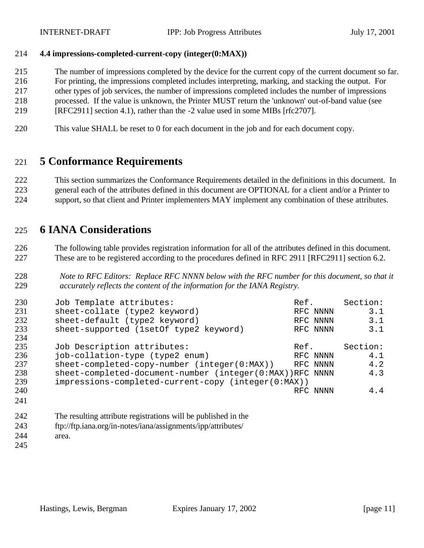#### **4.4 impressions-completed-current-copy (integer(0:MAX))**

- The number of impressions completed by the device for the current copy of the current document so far.
- For printing, the impressions completed includes interpreting, marking, and stacking the output. For
- other types of job services, the number of impressions completed includes the number of impressions
- processed. If the value is unknown, the Printer MUST return the 'unknown' out-of-band value (see
- [RFC2911] section 4.1), rather than the -2 value used in some MIBs [rfc2707].
- This value SHALL be reset to 0 for each document in the job and for each document copy.

## **5 Conformance Requirements**

 This section summarizes the Conformance Requirements detailed in the definitions in this document. In general each of the attributes defined in this document are OPTIONAL for a client and/or a Printer to support, so that client and Printer implementers MAY implement any combination of these attributes.

### **6 IANA Considerations**

 The following table provides registration information for all of the attributes defined in this document. These are to be registered according to the procedures defined in RFC 2911 [RFC2911] section 6.2.

 *Note to RFC Editors: Replace RFC NNNN below with the RFC number for this document, so that it accurately reflects the content of the information for the IANA Registry.*

| 230 | Job Template attributes:                                 | Ref.     | Section: |
|-----|----------------------------------------------------------|----------|----------|
| 231 | sheet-collate (type2 keyword)                            | RFC NNNN | 3.1      |
| 232 | sheet-default (type2 keyword)                            | RFC NNNN | 3.1      |
| 233 | sheet-supported (1set0f type2 keyword)                   | RFC NNNN | 3.1      |
| 234 |                                                          |          |          |
| 235 | Job Description attributes:                              | Ref.     | Section: |
| 236 | job-collation-type (type2 enum)                          | RFC NNNN | 4.1      |
| 237 | sheet-completed-copy-number (integer(0:MAX))             | RFC NNNN | 4.2      |
| 238 | sheet-completed-document-number (integer(0:MAX))RFC NNNN |          | 4.3      |
| 239 | impressions-completed-current-copy (integer(0:MAX))      |          |          |
| 240 |                                                          | RFC NNNN | 4.4      |
| 241 |                                                          |          |          |

- The resulting attribute registrations will be published in the ftp://ftp.iana.org/in-notes/iana/assignments/ipp/attributes/ area.
-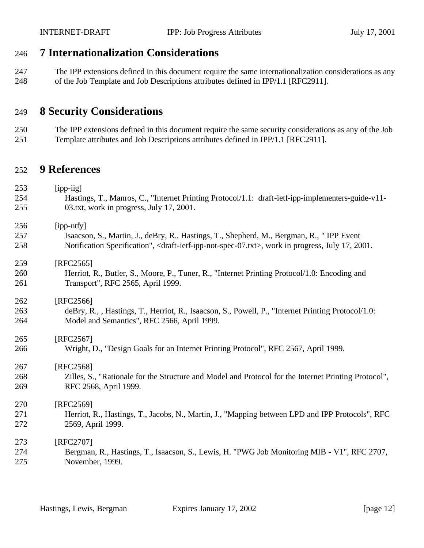## **7 Internationalization Considerations**

 The IPP extensions defined in this document require the same internationalization considerations as any of the Job Template and Job Descriptions attributes defined in IPP/1.1 [RFC2911].

## **8 Security Considerations**

 The IPP extensions defined in this document require the same security considerations as any of the Job Template attributes and Job Descriptions attributes defined in IPP/1.1 [RFC2911].

### **9 References**

| 253 | $[$ ipp-iig $]$                                                                                                                  |
|-----|----------------------------------------------------------------------------------------------------------------------------------|
| 254 | Hastings, T., Manros, C., "Internet Printing Protocol/1.1: draft-ietf-ipp-implementers-guide-v11-                                |
| 255 | 03.txt, work in progress, July 17, 2001.                                                                                         |
| 256 | [ipp-ntfy]                                                                                                                       |
| 257 | Isaacson, S., Martin, J., deBry, R., Hastings, T., Shepherd, M., Bergman, R., "IPP Event                                         |
| 258 | Notification Specification", <draft-ietf-ipp-not-spec-07.txt>, work in progress, July 17, 2001.</draft-ietf-ipp-not-spec-07.txt> |
| 259 | $[RFC2565]$                                                                                                                      |
| 260 | Herriot, R., Butler, S., Moore, P., Tuner, R., "Internet Printing Protocol/1.0: Encoding and                                     |
| 261 | Transport", RFC 2565, April 1999.                                                                                                |
| 262 | [RFC2566]                                                                                                                        |
| 263 | deBry, R., , Hastings, T., Herriot, R., Isaacson, S., Powell, P., "Internet Printing Protocol/1.0:                               |
| 264 | Model and Semantics", RFC 2566, April 1999.                                                                                      |
| 265 | [RFC2567]                                                                                                                        |
| 266 | Wright, D., "Design Goals for an Internet Printing Protocol", RFC 2567, April 1999.                                              |
| 267 | [RFC2568]                                                                                                                        |
| 268 | Zilles, S., "Rationale for the Structure and Model and Protocol for the Internet Printing Protocol",                             |
| 269 | RFC 2568, April 1999.                                                                                                            |
| 270 | [RFC2569]                                                                                                                        |
| 271 | Herriot, R., Hastings, T., Jacobs, N., Martin, J., "Mapping between LPD and IPP Protocols", RFC                                  |
| 272 | 2569, April 1999.                                                                                                                |
| 273 | [RFC2707]                                                                                                                        |
| 274 | Bergman, R., Hastings, T., Isaacson, S., Lewis, H. "PWG Job Monitoring MIB - V1", RFC 2707,                                      |
| 275 | November, 1999.                                                                                                                  |
|     |                                                                                                                                  |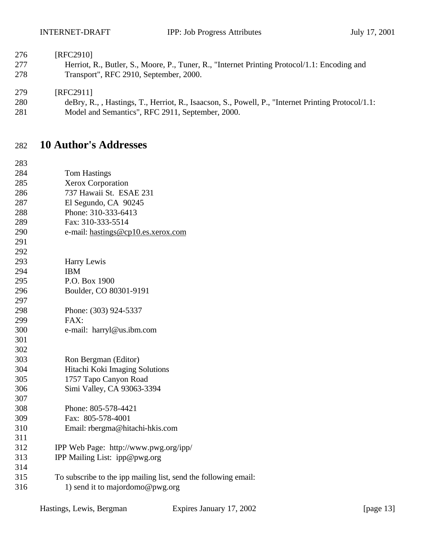#### [RFC2910]

 Herriot, R., Butler, S., Moore, P., Tuner, R., "Internet Printing Protocol/1.1: Encoding and Transport", RFC 2910, September, 2000.

#### [RFC2911]

- deBry, R., , Hastings, T., Herriot, R., Isaacson, S., Powell, P., "Internet Printing Protocol/1.1:
- Model and Semantics", RFC 2911, September, 2000.

### **10 Author's Addresses**

| 283 |                                                                 |
|-----|-----------------------------------------------------------------|
| 284 | <b>Tom Hastings</b>                                             |
| 285 | <b>Xerox Corporation</b>                                        |
| 286 | 737 Hawaii St. ESAE 231                                         |
| 287 | El Segundo, CA 90245                                            |
| 288 | Phone: 310-333-6413                                             |
| 289 | Fax: 310-333-5514                                               |
| 290 | e-mail: hastings@cp10.es.xerox.com                              |
| 291 |                                                                 |
| 292 |                                                                 |
| 293 | Harry Lewis                                                     |
| 294 | <b>IBM</b>                                                      |
| 295 | P.O. Box 1900                                                   |
| 296 | Boulder, CO 80301-9191                                          |
| 297 |                                                                 |
| 298 | Phone: (303) 924-5337                                           |
| 299 | FAX:                                                            |
| 300 | e-mail: harryl@us.ibm.com                                       |
| 301 |                                                                 |
| 302 |                                                                 |
| 303 | Ron Bergman (Editor)                                            |
| 304 | Hitachi Koki Imaging Solutions                                  |
| 305 | 1757 Tapo Canyon Road                                           |
| 306 | Simi Valley, CA 93063-3394                                      |
| 307 |                                                                 |
| 308 | Phone: 805-578-4421                                             |
| 309 | Fax: 805-578-4001                                               |
| 310 | Email: rbergma@hitachi-hkis.com                                 |
| 311 |                                                                 |
| 312 | IPP Web Page: http://www.pwg.org/ipp/                           |
| 313 | IPP Mailing List: ipp@pwg.org                                   |
| 314 |                                                                 |
| 315 | To subscribe to the ipp mailing list, send the following email: |
| 316 | 1) send it to majordomo@pwg.org                                 |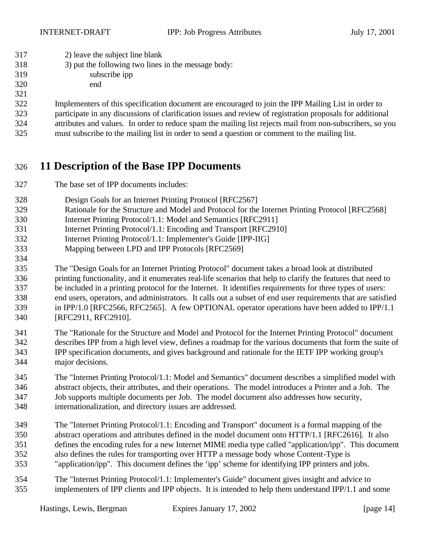| 317 |  | 2) leave the subject line blank |  |  |
|-----|--|---------------------------------|--|--|
|     |  |                                 |  |  |

- 3) put the following two lines in the message body:
- subscribe ipp end

 Implementers of this specification document are encouraged to join the IPP Mailing List in order to participate in any discussions of clarification issues and review of registration proposals for additional

attributes and values. In order to reduce spam the mailing list rejects mail from non-subscribers, so you

must subscribe to the mailing list in order to send a question or comment to the mailing list.

# **11 Description of the Base IPP Documents**

- The base set of IPP documents includes:
- Design Goals for an Internet Printing Protocol [RFC2567]
- Rationale for the Structure and Model and Protocol for the Internet Printing Protocol [RFC2568]
- Internet Printing Protocol/1.1: Model and Semantics [RFC2911]
- Internet Printing Protocol/1.1: Encoding and Transport [RFC2910]
- Internet Printing Protocol/1.1: Implementer's Guide [IPP-IIG]
- Mapping between LPD and IPP Protocols [RFC2569]

 The "Design Goals for an Internet Printing Protocol" document takes a broad look at distributed printing functionality, and it enumerates real-life scenarios that help to clarify the features that need to be included in a printing protocol for the Internet. It identifies requirements for three types of users: end users, operators, and administrators. It calls out a subset of end user requirements that are satisfied in IPP/1.0 [RFC2566, RFC2565]. A few OPTIONAL operator operations have been added to IPP/1.1 [RFC2911, RFC2910].

- The "Rationale for the Structure and Model and Protocol for the Internet Printing Protocol" document describes IPP from a high level view, defines a roadmap for the various documents that form the suite of IPP specification documents, and gives background and rationale for the IETF IPP working group's major decisions.
- The "Internet Printing Protocol/1.1: Model and Semantics" document describes a simplified model with abstract objects, their attributes, and their operations. The model introduces a Printer and a Job. The Job supports multiple documents per Job. The model document also addresses how security, internationalization, and directory issues are addressed.
- The "Internet Printing Protocol/1.1: Encoding and Transport" document is a formal mapping of the abstract operations and attributes defined in the model document onto HTTP/1.1 [RFC2616]. It also defines the encoding rules for a new Internet MIME media type called "application/ipp". This document also defines the rules for transporting over HTTP a message body whose Content-Type is "application/ipp". This document defines the 'ipp' scheme for identifying IPP printers and jobs.
- The "Internet Printing Protocol/1.1: Implementer's Guide" document gives insight and advice to implementers of IPP clients and IPP objects. It is intended to help them understand IPP/1.1 and some